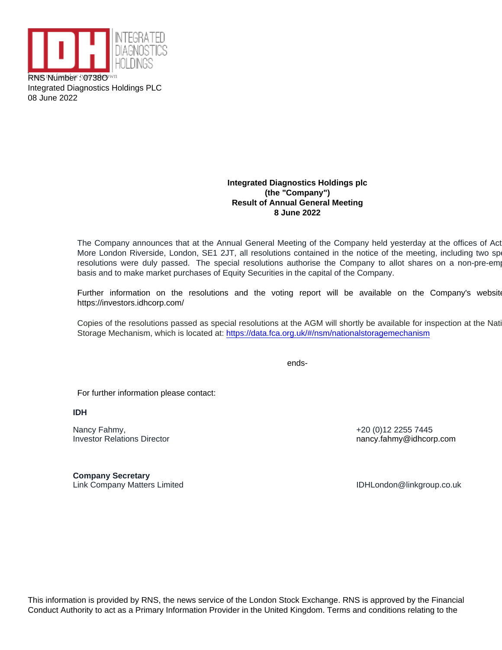RNS Nuthwet or 0738Oknown Integrated Diagnostics Holdings PLC 08 June 2022

> Integrated Diagnostics Holdings plc (the "Company") Result of Annual General Meeting 8 June 2022

The Company announces that at the Annual General Meeting of the Company held yesterday at the offices of Act More London Riverside, London, SE1 2JT, all resolutions contained in the notice of the meeting, including two sp resolutions were duly passed. The special resolutions authorise the Company to allot shares on a non-pre-empti basis and to make market purchases of Equity Securities in the capital of the Company.

Further information on the resolutions and the voting report will be available on the Company's website https://investors.idhcorp.com/

Copies of the resolutions passed as special resolutions at the AGM will shortly be available for inspection at the Nati Storage Mechanism, which is located at:<https://data.fca.org.uk/#/nsm/nationalstoragemechanism>

ends-

For further information please contact:

IDH

Nancy Fahmy, Investor Relations Director

Company Secretary Link Company Matters Limited **IDHLondon** Company Matters Limited **IDHLondon** Company Matters Limited

+20 (0)12 2255 7445 nancy.fahmy@idhcorp.com

This information is provided by RNS, the news service of the London Stock Exchange. RNS is approved by the Financial Conduct Authority to act as a Primary Information Provider in the United Kingdom. Terms and conditions relating to the